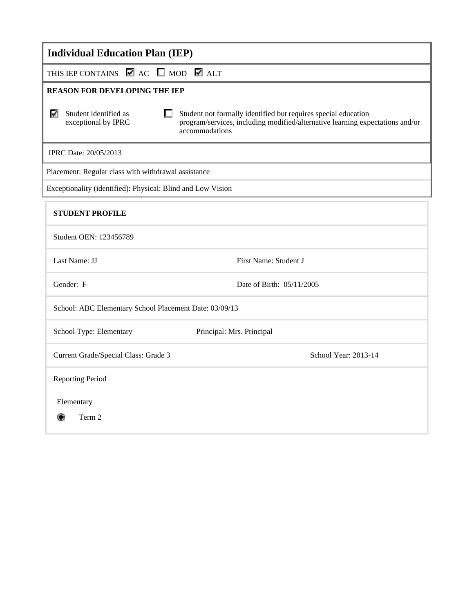| <b>Individual Education Plan (IEP)</b>                                                                                                                                                                                 |  |  |
|------------------------------------------------------------------------------------------------------------------------------------------------------------------------------------------------------------------------|--|--|
| THIS IEP CONTAINS $\blacksquare$ AC $\blacksquare$ MOD $\blacksquare$ ALT                                                                                                                                              |  |  |
| <b>REASON FOR DEVELOPING THE IEP</b>                                                                                                                                                                                   |  |  |
| Student identified as<br>Student not formally identified but requires special education<br>⊽<br>exceptional by IPRC<br>program/services, including modified/alternative learning expectations and/or<br>accommodations |  |  |
| IPRC Date: 20/05/2013                                                                                                                                                                                                  |  |  |
| Placement: Regular class with withdrawal assistance                                                                                                                                                                    |  |  |
| Exceptionality (identified): Physical: Blind and Low Vision                                                                                                                                                            |  |  |
| <b>STUDENT PROFILE</b>                                                                                                                                                                                                 |  |  |
| Student OEN: 123456789                                                                                                                                                                                                 |  |  |
| Last Name: JJ<br>First Name: Student J                                                                                                                                                                                 |  |  |
| Gender: F<br>Date of Birth: 05/11/2005                                                                                                                                                                                 |  |  |
| School: ABC Elementary School Placement Date: 03/09/13                                                                                                                                                                 |  |  |
| School Type: Elementary<br>Principal: Mrs. Principal                                                                                                                                                                   |  |  |
| School Year: 2013-14<br>Current Grade/Special Class: Grade 3                                                                                                                                                           |  |  |
| <b>Reporting Period</b>                                                                                                                                                                                                |  |  |
| Elementary<br>Term 2<br>۴                                                                                                                                                                                              |  |  |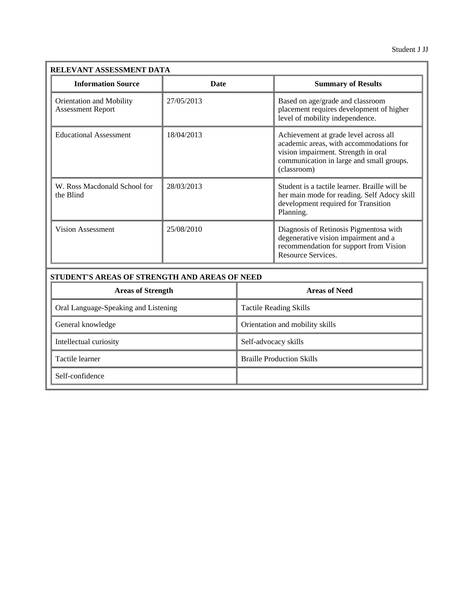| RELEVANT ASSESSMENT DATA                                    |             |                                                                                                                                                                                    |
|-------------------------------------------------------------|-------------|------------------------------------------------------------------------------------------------------------------------------------------------------------------------------------|
| <b>Information Source</b>                                   | <b>Date</b> | <b>Summary of Results</b>                                                                                                                                                          |
| <b>Orientation and Mobility</b><br><b>Assessment Report</b> | 27/05/2013  | Based on age/grade and classroom<br>placement requires development of higher<br>level of mobility independence.                                                                    |
| <b>Educational Assessment</b>                               | 18/04/2013  | Achievement at grade level across all<br>academic areas, with accommodations for<br>vision impairment. Strength in oral<br>communication in large and small groups.<br>(classroom) |
| W. Ross Macdonald School for<br>the Blind                   | 28/03/2013  | Student is a tactile learner. Braille will be<br>her main mode for reading. Self Adocy skill<br>development required for Transition<br>Planning.                                   |
| <b>Vision Assessment</b>                                    | 25/08/2010  | Diagnosis of Retinosis Pigmentosa with<br>degenerative vision impairment and a<br>recommendation for support from Vision<br>Resource Services.                                     |

| <b>Areas of Strength</b>             | <b>Areas of Need</b>             |
|--------------------------------------|----------------------------------|
| Oral Language-Speaking and Listening | <b>Tactile Reading Skills</b>    |
| General knowledge                    | Orientation and mobility skills  |
| Intellectual curiosity               | Self-advocacy skills             |
| Tactile learner                      | <b>Braille Production Skills</b> |
| Self-confidence                      |                                  |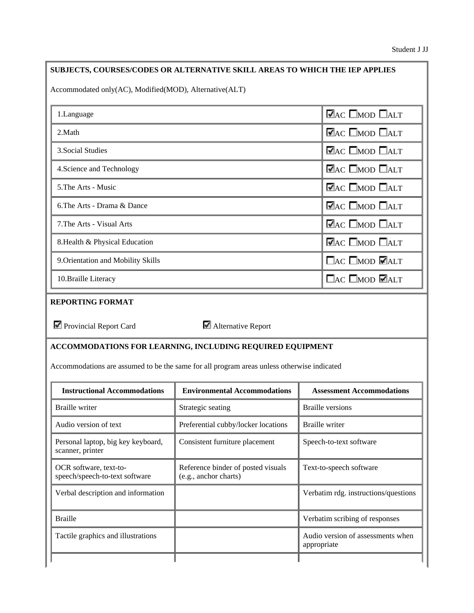### **SUBJECTS, COURSES/CODES OR ALTERNATIVE SKILL AREAS TO WHICH THE IEP APPLIES**

Accommodated only(AC), Modified(MOD), Alternative(ALT)

| 1. Language                        | $\nabla$ <sub>AC</sub> $\Box$ <sub>MOD</sub> $\Box$ <sub>ALT</sub> |
|------------------------------------|--------------------------------------------------------------------|
| 2. Math                            | $\nabla$ AC $\square$ MOD $\square$ ALT                            |
| 3. Social Studies                  | $\blacksquare$ AC $\square$ MOD $\square$ ALT                      |
| 4. Science and Technology          | $\nabla$ <sub>AC</sub> $\Box$ <sub>MOD</sub> $\Box$ <sub>ALT</sub> |
| 5. The Arts - Music                | $\nabla$ AC $\Box$ MOD $\Box$ ALT                                  |
| 6. The Arts - Drama & Dance        | $\nabla$ AC $\Box$ MOD $\Box$ ALT                                  |
| 7. The Arts - Visual Arts          | $\blacktriangledown$ AC $\Box$ MOD $\Box$ ALT                      |
| 8. Health & Physical Education     | $\blacksquare$ AC $\square$ MOD $\square$ ALT                      |
| 9. Orientation and Mobility Skills | $\Box$ AC $\Box$ MOD $\Box$ ALT                                    |
| 10. Braille Literacy               | $\Box$ AC $\Box$ MOD $\Box$ ALT                                    |

### **REPORTING FORMAT**

Provincial Report Card **Alternative Report** 

#### **ACCOMMODATIONS FOR LEARNING, INCLUDING REQUIRED EQUIPMENT**

Accommodations are assumed to be the same for all program areas unless otherwise indicated

| <b>Instructional Accommodations</b>                      | <b>Environmental Accommodations</b>                         | <b>Assessment Accommodations</b>                 |
|----------------------------------------------------------|-------------------------------------------------------------|--------------------------------------------------|
| Braille writer                                           | Strategic seating                                           | Braille versions                                 |
| Audio version of text                                    | Preferential cubby/locker locations                         | <b>Braille</b> writer                            |
| Personal laptop, big key keyboard,<br>scanner, printer   | Consistent furniture placement                              | Speech-to-text software                          |
| OCR software, text-to-<br>speech/speech-to-text software | Reference binder of posted visuals<br>(e.g., anchor charts) | Text-to-speech software                          |
| Verbal description and information                       |                                                             | Verbatim rdg. instructions/questions             |
| <b>Braille</b>                                           |                                                             | Verbatim scribing of responses                   |
| Tactile graphics and illustrations                       |                                                             | Audio version of assessments when<br>appropriate |
|                                                          |                                                             |                                                  |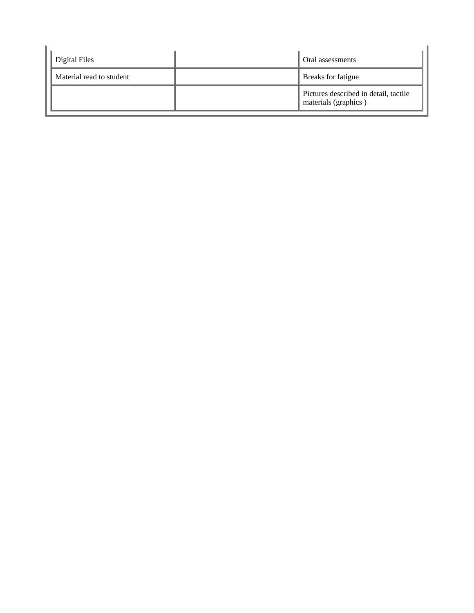| Digital Files            | Oral assessments                                              |
|--------------------------|---------------------------------------------------------------|
| Material read to student | Breaks for fatigue                                            |
|                          | Pictures described in detail, tactile<br>materials (graphics) |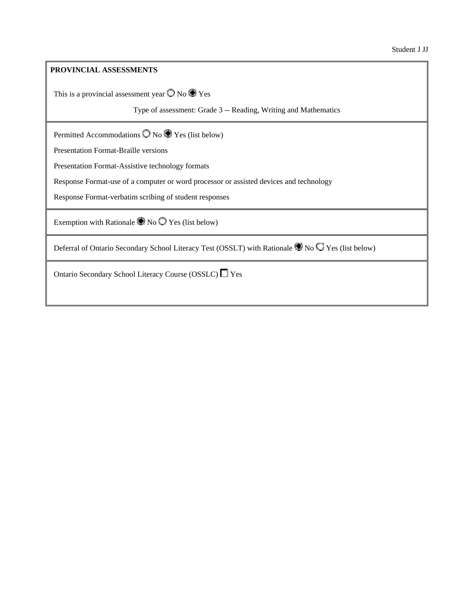### **PROVINCIAL ASSESSMENTS**

This is a provincial assessment year  $\bigcirc$  No  $\bigcirc$  Yes

Type of assessment: Grade 3 -- Reading, Writing and Mathematics

Permitted Accommodations  $\bigcirc$  No  $\bigcirc$  Yes (list below)

Presentation Format-Braille versions

Presentation Format-Assistive technology formats

Response Format-use of a computer or word processor or assisted devices and technology

Response Format-verbatim scribing of student responses

Exemption with Rationale  $\bullet$  No  $\circ$  Yes (list below)

Deferral of Ontario Secondary School Literacy Test (OSSLT) with Rationale No  $\bigcirc$  Yes (list below)

Ontario Secondary School Literacy Course (OSSLC) Ves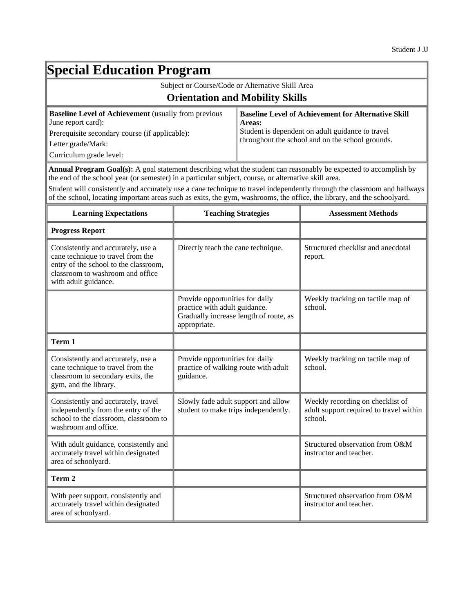## **Special Education Program**

| Subject or Course/Code or Alternative Skill Area                                                   |                                                                      |  |
|----------------------------------------------------------------------------------------------------|----------------------------------------------------------------------|--|
| <b>Orientation and Mobility Skills</b>                                                             |                                                                      |  |
| <b>Baseline Level of Achievement</b> (usually from previous<br>June report card):                  | <b>Baseline Level of Achievement for Alternative Skill</b><br>Areas: |  |
| Student is dependent on adult guidance to travel<br>Prerequisite secondary course (if applicable): |                                                                      |  |
| Letter grade/Mark:                                                                                 | throughout the school and on the school grounds.                     |  |
| Curriculum grade level:                                                                            |                                                                      |  |

**Annual Program Goal(s):** A goal statement describing what the student can reasonably be expected to accomplish by the end of the school year (or semester) in a particular subject, course, or alternative skill area.

Student will consistently and accurately use a cane technique to travel independently through the classroom and hallways of the school, locating important areas such as exits, the gym, washrooms, the office, the library, and the schoolyard.

| <b>Learning Expectations</b>                                                                                                                                                 | <b>Teaching Strategies</b>                                                                                                 | <b>Assessment Methods</b>                                                              |
|------------------------------------------------------------------------------------------------------------------------------------------------------------------------------|----------------------------------------------------------------------------------------------------------------------------|----------------------------------------------------------------------------------------|
| <b>Progress Report</b>                                                                                                                                                       |                                                                                                                            |                                                                                        |
| Consistently and accurately, use a<br>cane technique to travel from the<br>entry of the school to the classroom,<br>classroom to washroom and office<br>with adult guidance. | Directly teach the cane technique.                                                                                         | Structured checklist and anecdotal<br>report.                                          |
|                                                                                                                                                                              | Provide opportunities for daily<br>practice with adult guidance.<br>Gradually increase length of route, as<br>appropriate. | Weekly tracking on tactile map of<br>school.                                           |
| Term 1                                                                                                                                                                       |                                                                                                                            |                                                                                        |
| Consistently and accurately, use a<br>cane technique to travel from the<br>classroom to secondary exits, the<br>gym, and the library.                                        | Provide opportunities for daily<br>practice of walking route with adult<br>guidance.                                       | Weekly tracking on tactile map of<br>school.                                           |
| Consistently and accurately, travel<br>independently from the entry of the<br>school to the classroom, classroom to<br>washroom and office.                                  | Slowly fade adult support and allow<br>student to make trips independently.                                                | Weekly recording on checklist of<br>adult support required to travel within<br>school. |
| With adult guidance, consistently and<br>accurately travel within designated<br>area of schoolyard.                                                                          |                                                                                                                            | Structured observation from O&M<br>instructor and teacher.                             |
| Term 2                                                                                                                                                                       |                                                                                                                            |                                                                                        |
| With peer support, consistently and<br>accurately travel within designated<br>area of schoolyard.                                                                            |                                                                                                                            | Structured observation from O&M<br>instructor and teacher.                             |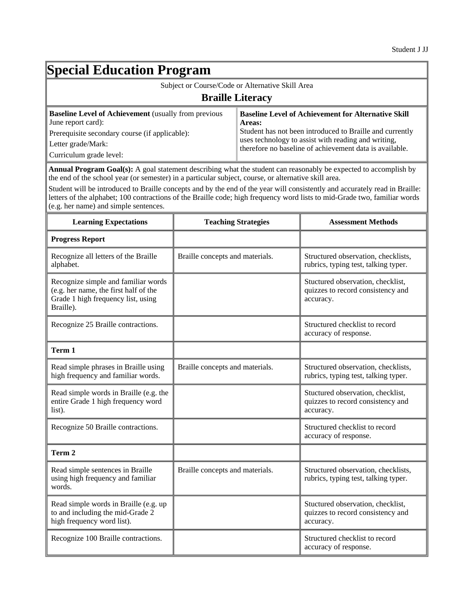# **Special Education Program**

| Subject or Course/Code or Alternative Skill Area                                                                                                                                     |                                                                                                                                                                                                                                                    |  |
|--------------------------------------------------------------------------------------------------------------------------------------------------------------------------------------|----------------------------------------------------------------------------------------------------------------------------------------------------------------------------------------------------------------------------------------------------|--|
| <b>Braille Literacy</b>                                                                                                                                                              |                                                                                                                                                                                                                                                    |  |
| <b>Baseline Level of Achievement</b> (usually from previous<br>June report card):<br>Prerequisite secondary course (if applicable):<br>Letter grade/Mark:<br>Curriculum grade level: | <b>Baseline Level of Achievement for Alternative Skill</b><br>Areas:<br>Student has not been introduced to Braille and currently<br>uses technology to assist with reading and writing,<br>therefore no baseline of achievement data is available. |  |

**Annual Program Goal(s):** A goal statement describing what the student can reasonably be expected to accomplish by the end of the school year (or semester) in a particular subject, course, or alternative skill area.

Student will be introduced to Braille concepts and by the end of the year will consistently and accurately read in Braille: letters of the alphabet; 100 contractions of the Braille code; high frequency word lists to mid-Grade two, familiar words (e.g. her name) and simple sentences.

| <b>Learning Expectations</b>                                                                                                    | <b>Teaching Strategies</b>      | <b>Assessment Methods</b>                                                           |
|---------------------------------------------------------------------------------------------------------------------------------|---------------------------------|-------------------------------------------------------------------------------------|
| <b>Progress Report</b>                                                                                                          |                                 |                                                                                     |
| Recognize all letters of the Braille<br>alphabet.                                                                               | Braille concepts and materials. | Structured observation, checklists,<br>rubrics, typing test, talking typer.         |
| Recognize simple and familiar words<br>(e.g. her name, the first half of the<br>Grade 1 high frequency list, using<br>Braille). |                                 | Stuctured observation, checklist,<br>quizzes to record consistency and<br>accuracy. |
| Recognize 25 Braille contractions.                                                                                              |                                 | Structured checklist to record<br>accuracy of response.                             |
| Term 1                                                                                                                          |                                 |                                                                                     |
| Read simple phrases in Braille using<br>high frequency and familiar words.                                                      | Braille concepts and materials. | Structured observation, checklists,<br>rubrics, typing test, talking typer.         |
| Read simple words in Braille (e.g. the<br>entire Grade 1 high frequency word<br>list).                                          |                                 | Stuctured observation, checklist,<br>quizzes to record consistency and<br>accuracy. |
| Recognize 50 Braille contractions.                                                                                              |                                 | Structured checklist to record<br>accuracy of response.                             |
| Term 2                                                                                                                          |                                 |                                                                                     |
| Read simple sentences in Braille<br>using high frequency and familiar<br>words.                                                 | Braille concepts and materials. | Structured observation, checklists,<br>rubrics, typing test, talking typer.         |
| Read simple words in Braille (e.g. up<br>to and including the mid-Grade 2<br>high frequency word list).                         |                                 | Stuctured observation, checklist,<br>quizzes to record consistency and<br>accuracy. |
| Recognize 100 Braille contractions.                                                                                             |                                 | Structured checklist to record<br>accuracy of response.                             |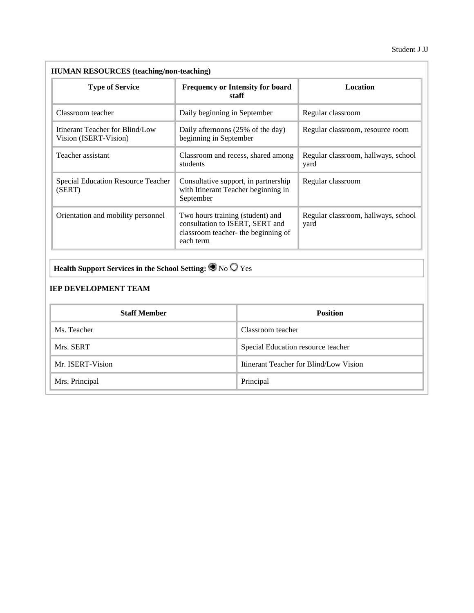| <b>Type of Service</b>                                   | <b>Frequency or Intensity for board</b><br>staff                                                                        | <b>Location</b>                             |
|----------------------------------------------------------|-------------------------------------------------------------------------------------------------------------------------|---------------------------------------------|
| Classroom teacher                                        | Daily beginning in September                                                                                            | Regular classroom                           |
| Itinerant Teacher for Blind/Low<br>Vision (ISERT-Vision) | Daily afternoons (25% of the day)<br>beginning in September                                                             | Regular classroom, resource room            |
| Teacher assistant                                        | Classroom and recess, shared among<br>students                                                                          | Regular classroom, hallways, school<br>yard |
| Special Education Resource Teacher<br>(SERT)             | Consultative support, in partnership<br>with Itinerant Teacher beginning in<br>September                                | Regular classroom                           |
| Orientation and mobility personnel                       | Two hours training (student) and<br>consultation to ISERT, SERT and<br>classroom teacher- the beginning of<br>each term | Regular classroom, hallways, school<br>yard |

## **Health Support Services in the School Setting:**  $\bigcirc$  **No**  $\bigcirc$  **Yes**

### **IEP DEVELOPMENT TEAM**

| <b>Staff Member</b> | <b>Position</b>                        |
|---------------------|----------------------------------------|
| Ms. Teacher         | Classroom teacher                      |
| Mrs. SERT           | Special Education resource teacher     |
| Mr. ISERT-Vision    | Itinerant Teacher for Blind/Low Vision |
| Mrs. Principal      | Principal                              |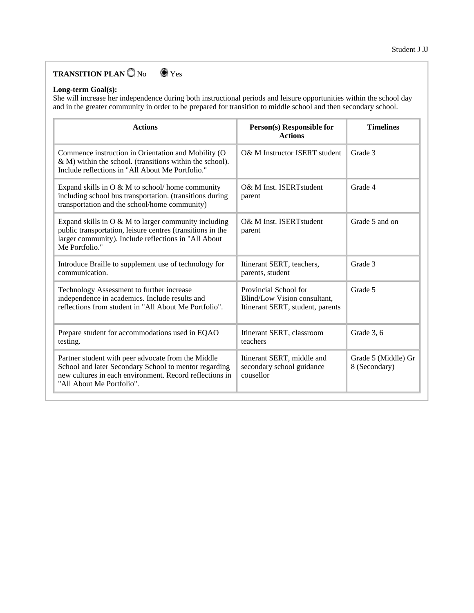### **TRANSITION PLAN**  $\bigcirc$  No  $\bigcirc$  Yes

#### **Long-term Goal(s):**

She will increase her independence during both instructional periods and leisure opportunities within the school day and in the greater community in order to be prepared for transition to middle school and then secondary school.

| <b>Actions</b>                                                                                                                                                                                      | Person(s) Responsible for<br><b>Actions</b>                                               | <b>Timelines</b>                     |
|-----------------------------------------------------------------------------------------------------------------------------------------------------------------------------------------------------|-------------------------------------------------------------------------------------------|--------------------------------------|
| Commence instruction in Orientation and Mobility (O<br>& M) within the school. (transitions within the school).<br>Include reflections in "All About Me Portfolio."                                 | O& M Instructor ISERT student                                                             | Grade 3                              |
| Expand skills in $O & M$ to school/home community<br>including school bus transportation. (transitions during<br>transportation and the school/home community)                                      | O& M Inst. ISERTstudent<br>parent                                                         | Grade 4                              |
| Expand skills in O & M to larger community including<br>public transportation, leisure centres (transitions in the<br>larger community). Include reflections in "All About<br>Me Portfolio."        | O& M Inst. ISERTstudent<br>parent                                                         | Grade 5 and on                       |
| Introduce Braille to supplement use of technology for<br>communication.                                                                                                                             | Itinerant SERT, teachers,<br>parents, student                                             | Grade 3                              |
| Technology Assessment to further increase<br>independence in academics. Include results and<br>reflections from student in "All About Me Portfolio".                                                | Provincial School for<br>Blind/Low Vision consultant,<br>Itinerant SERT, student, parents | Grade 5                              |
| Prepare student for accommodations used in EQAO<br>testing.                                                                                                                                         | Itinerant SERT, classroom<br>teachers                                                     | Grade 3, 6                           |
| Partner student with peer advocate from the Middle<br>School and later Secondary School to mentor regarding<br>new cultures in each environment. Record reflections in<br>"All About Me Portfolio". | Itinerant SERT, middle and<br>secondary school guidance<br>cousellor                      | Grade 5 (Middle) Gr<br>8 (Secondary) |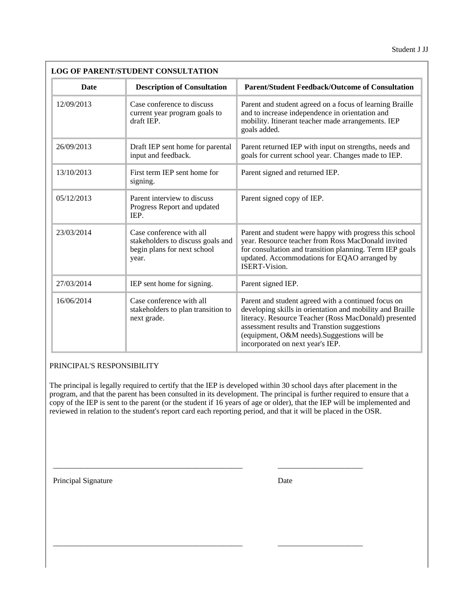Student J JJ

| <b>Date</b> | <b>Description of Consultation</b>                                                                    | <b>Parent/Student Feedback/Outcome of Consultation</b>                                                                                                                                                                                                                                                       |  |
|-------------|-------------------------------------------------------------------------------------------------------|--------------------------------------------------------------------------------------------------------------------------------------------------------------------------------------------------------------------------------------------------------------------------------------------------------------|--|
| 12/09/2013  | Case conference to discuss<br>current year program goals to<br>draft IEP.                             | Parent and student agreed on a focus of learning Braille<br>and to increase independence in orientation and<br>mobility. Itinerant teacher made arrangements. IEP<br>goals added.                                                                                                                            |  |
| 26/09/2013  | Draft IEP sent home for parental<br>input and feedback.                                               | Parent returned IEP with input on strengths, needs and<br>goals for current school year. Changes made to IEP.                                                                                                                                                                                                |  |
| 13/10/2013  | First term IEP sent home for<br>signing.                                                              | Parent signed and returned IEP.                                                                                                                                                                                                                                                                              |  |
| 05/12/2013  | Parent interview to discuss<br>Progress Report and updated<br>IEP.                                    | Parent signed copy of IEP.                                                                                                                                                                                                                                                                                   |  |
| 23/03/2014  | Case conference with all<br>stakeholders to discuss goals and<br>begin plans for next school<br>year. | Parent and student were happy with progress this school<br>year. Resource teacher from Ross MacDonald invited<br>for consultation and transition planning. Term IEP goals<br>updated. Accommodations for EQAO arranged by<br><b>ISERT-Vision.</b>                                                            |  |
| 27/03/2014  | IEP sent home for signing.                                                                            | Parent signed IEP.                                                                                                                                                                                                                                                                                           |  |
| 16/06/2014  | Case conference with all<br>stakeholders to plan transition to<br>next grade.                         | Parent and student agreed with a continued focus on<br>developing skills in orientation and mobility and Braille<br>literacy. Resource Teacher (Ross MacDonald) presented<br>assessment results and Transtion suggestions<br>(equipment, O&M needs). Suggestions will be<br>incorporated on next year's IEP. |  |

### PRINCIPAL'S RESPONSIBILITY

The principal is legally required to certify that the IEP is developed within 30 school days after placement in the program, and that the parent has been consulted in its development. The principal is further required to ensure that a copy of the IEP is sent to the parent (or the student if 16 years of age or older), that the IEP will be implemented and reviewed in relation to the student's report card each reporting period, and that it will be placed in the OSR.

 $\_$  , and the set of the set of the set of the set of the set of the set of the set of the set of the set of the set of the set of the set of the set of the set of the set of the set of the set of the set of the set of th

\_\_\_\_\_\_\_\_\_\_\_\_\_\_\_\_\_\_\_\_\_\_\_\_\_\_\_\_\_\_\_\_\_\_\_\_\_\_\_\_\_\_\_\_\_\_\_\_\_ \_\_\_\_\_\_\_\_\_\_\_\_\_\_\_\_\_\_\_\_\_\_

Principal Signature Date